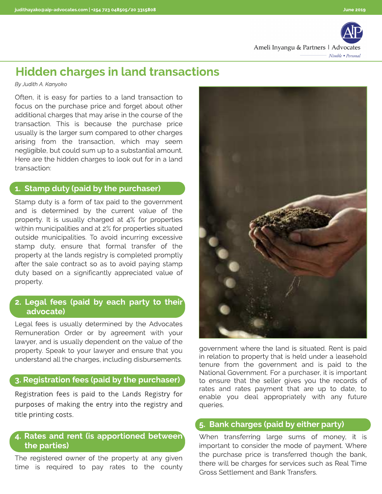

# Hidden charges in land transactions

**By Judith A. Kanyoko**

Often, it is easy for parties to a land transaction to focus on the purchase price and forget about other additional charges that may arise in the course of the transaction. This is because the purchase price usually is the larger sum compared to other charges arising from the transaction, which may seem negligible, but could sum up to a substantial amount. Here are the hidden charges to look out for in a land transaction:

#### 1. Stamp duty (paid by the purchaser)

Stamp duty is a form of tax paid to the government and is determined by the current value of the property. It is usually charged at 4% for properties within municipalities and at 2% for properties situated outside municipalities. To avoid incurring excessive stamp duty, ensure that formal transfer of the property at the lands registry is completed promptly after the sale contract so as to avoid paying stamp duty based on a significantly appreciated value of property.

### 2. Legal fees (paid by each party to their advocate)

Legal fees is usually determined by the Advocates Remuneration Order or by agreement with your lawyer, and is usually dependent on the value of the property. Speak to your lawyer and ensure that you understand all the charges, including disbursements.

#### 3. Registration fees (paid by the purchaser)

Registration fees is paid to the Lands Registry for purposes of making the entry into the registry and title printing costs.

#### 4. Rates and rent (is apportioned between) the parties)

The registered owner of the property at any given time is required to pay rates to the county



government where the land is situated. Rent is paid in relation to property that is held under a leasehold tenure from the government and is paid to the National Government. For a purchaser, it is important to ensure that the seller gives you the records of rates and rates payment that are up to date, to enable you deal appropriately with any future queries.

## 5. Bank charges (paid by either party)

When transferring large sums of money, it is important to consider the mode of payment. Where the purchase price is transferred though the bank, there will be charges for services such as Real Time Gross Settlement and Bank Transfers.